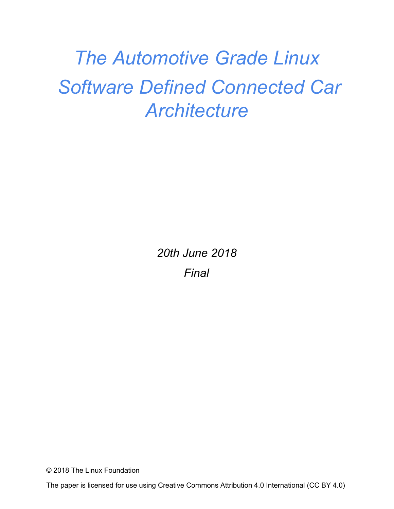# *The Automotive Grade Linux Software Defined Connected Car Architecture*

*20th June 2018 Final*

© 2018 The Linux Foundation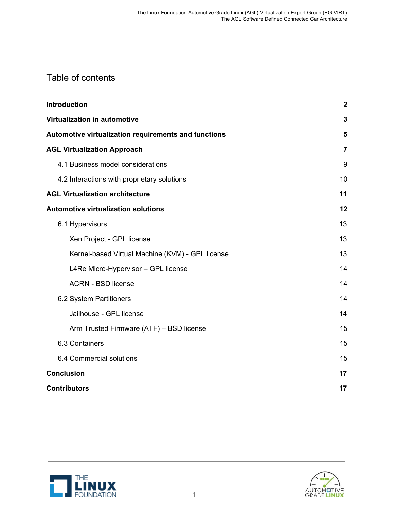### Table of contents

| <b>Introduction</b>                                  |    |  |
|------------------------------------------------------|----|--|
| Virtualization in automotive                         |    |  |
| Automotive virtualization requirements and functions |    |  |
| <b>AGL Virtualization Approach</b>                   |    |  |
| 4.1 Business model considerations                    | 9  |  |
| 4.2 Interactions with proprietary solutions          | 10 |  |
| <b>AGL Virtualization architecture</b>               | 11 |  |
| <b>Automotive virtualization solutions</b>           |    |  |
| 6.1 Hypervisors                                      | 13 |  |
| Xen Project - GPL license                            | 13 |  |
| Kernel-based Virtual Machine (KVM) - GPL license     | 13 |  |
| L4Re Micro-Hypervisor - GPL license                  | 14 |  |
| <b>ACRN - BSD license</b>                            | 14 |  |
| 6.2 System Partitioners                              | 14 |  |
| Jailhouse - GPL license                              | 14 |  |
| Arm Trusted Firmware (ATF) - BSD license             | 15 |  |
| 6.3 Containers                                       | 15 |  |
| 6.4 Commercial solutions                             | 15 |  |
| <b>Conclusion</b>                                    |    |  |
| <b>Contributors</b>                                  |    |  |



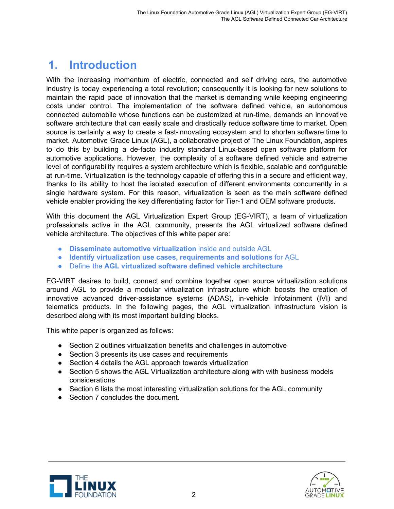# <span id="page-2-0"></span>**1. Introduction**

With the increasing momentum of electric, connected and self driving cars, the automotive industry is today experiencing a total revolution; consequently it is looking for new solutions to maintain the rapid pace of innovation that the market is demanding while keeping engineering costs under control. The implementation of the software defined vehicle, an autonomous connected automobile whose functions can be customized at run-time, demands an innovative software architecture that can easily scale and drastically reduce software time to market. Open source is certainly a way to create a fast-innovating ecosystem and to shorten software time to market. Automotive Grade Linux (AGL), a collaborative project of The Linux Foundation, aspires to do this by building a de-facto industry standard Linux-based open software platform for automotive applications. However, the complexity of a software defined vehicle and extreme level of configurability requires a system architecture which is flexible, scalable and configurable at run-time. Virtualization is the technology capable of offering this in a secure and efficient way, thanks to its ability to host the isolated execution of different environments concurrently in a single hardware system. For this reason, virtualization is seen as the main software defined vehicle enabler providing the key differentiating factor for Tier-1 and OEM software products.

With this document the AGL Virtualization Expert Group (EG-VIRT), a team of virtualization professionals active in the AGL community, presents the AGL virtualized software defined vehicle architecture. The objectives of this white paper are:

- **Disseminate automotive virtualization** inside and outside AGL
- **Identify virtualization use cases, requirements and solutions** for AGL
- Define the **AGL virtualized software defined vehicle architecture**

EG-VIRT desires to build, connect and combine together open source virtualization solutions around AGL to provide a modular virtualization infrastructure which boosts the creation of innovative advanced driver-assistance systems (ADAS), in-vehicle Infotainment (IVI) and telematics products. In the following pages, the AGL virtualization infrastructure vision is described along with its most important building blocks.

This white paper is organized as follows:

- Section 2 outlines virtualization benefits and challenges in automotive
- Section 3 presents its use cases and requirements
- Section 4 details the AGL approach towards virtualization
- Section 5 shows the AGL Virtualization architecture along with with business models considerations
- Section 6 lists the most interesting virtualization solutions for the AGL community
- Section 7 concludes the document.



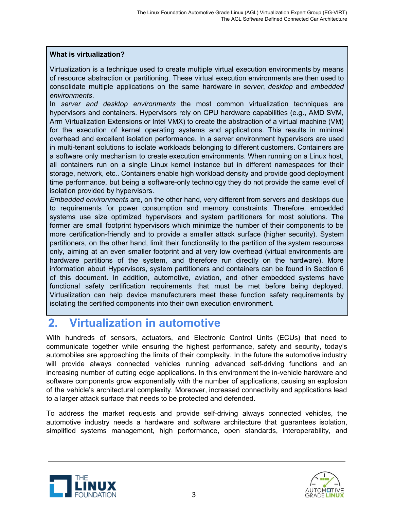#### **What is virtualization?**

Virtualization is a technique used to create multiple virtual execution environments by means of resource abstraction or partitioning. These virtual execution environments are then used to consolidate multiple applications on the same hardware in *server*, *desktop* and *embedded environments*.

In *server and desktop environments* the most common virtualization techniques are hypervisors and containers. Hypervisors rely on CPU hardware capabilities (e.g., AMD SVM, Arm Virtualization Extensions or Intel VMX) to create the abstraction of a virtual machine (VM) for the execution of kernel operating systems and applications. This results in minimal overhead and excellent isolation performance. In a server environment hypervisors are used in multi-tenant solutions to isolate workloads belonging to different customers. Containers are a software only mechanism to create execution environments. When running on a Linux host, all containers run on a single Linux kernel instance but in different namespaces for their storage, network, etc.. Containers enable high workload density and provide good deployment time performance, but being a software-only technology they do not provide the same level of isolation provided by hypervisors.

*Embedded environments* are, on the other hand, very different from servers and desktops due to requirements for power consumption and memory constraints. Therefore, embedded systems use size optimized hypervisors and system partitioners for most solutions. The former are small footprint hypervisors which minimize the number of their components to be more certification-friendly and to provide a smaller attack surface (higher security). System partitioners, on the other hand, limit their functionality to the partition of the system resources only, aiming at an even smaller footprint and at very low overhead (virtual environments are hardware partitions of the system, and therefore run directly on the hardware). More information about Hypervisors, system partitioners and containers can be found in Section 6 of this document. In addition, automotive, aviation, and other embedded systems have functional safety certification requirements that must be met before being deployed. Virtualization can help device manufacturers meet these function safety requirements by isolating the certified components into their own execution environment.

# <span id="page-3-0"></span>**2. Virtualization in automotive**

With hundreds of sensors, actuators, and Electronic Control Units (ECUs) that need to communicate together while ensuring the highest performance, safety and security, today's automobiles are approaching the limits of their complexity. In the future the automotive industry will provide always connected vehicles running advanced self-driving functions and an increasing number of cutting edge applications. In this environment the in-vehicle hardware and software components grow exponentially with the number of applications, causing an explosion of the vehicle's architectural complexity. Moreover, increased connectivity and applications lead to a larger attack surface that needs to be protected and defended.

To address the market requests and provide self-driving always connected vehicles, the automotive industry needs a hardware and software architecture that guarantees isolation, simplified systems management, high performance, open standards, interoperability, and



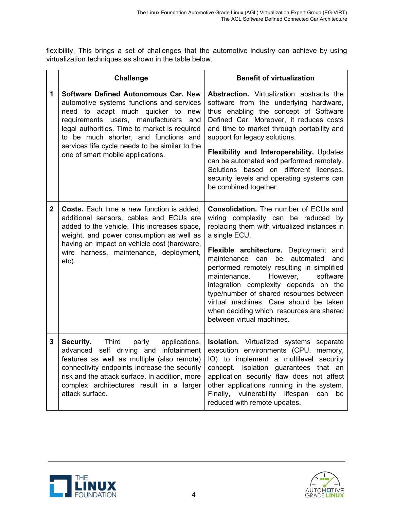flexibility. This brings a set of challenges that the automotive industry can achieve by using virtualization techniques as shown in the table below.

|              | <b>Challenge</b>                                                                                                                                                                                                                                                                                                                                              | <b>Benefit of virtualization</b>                                                                                                                                                                                                                                                                                                                                                                                                                                                                                                        |
|--------------|---------------------------------------------------------------------------------------------------------------------------------------------------------------------------------------------------------------------------------------------------------------------------------------------------------------------------------------------------------------|-----------------------------------------------------------------------------------------------------------------------------------------------------------------------------------------------------------------------------------------------------------------------------------------------------------------------------------------------------------------------------------------------------------------------------------------------------------------------------------------------------------------------------------------|
| 1            | <b>Software Defined Autonomous Car. New</b><br>automotive systems functions and services<br>need to adapt much quicker to<br>new<br>requirements users, manufacturers<br>and<br>legal authorities. Time to market is required<br>to be much shorter, and functions and<br>services life cycle needs to be similar to the<br>one of smart mobile applications. | <b>Abstraction.</b> Virtualization abstracts the<br>software from the underlying hardware,<br>thus enabling the concept of Software<br>Defined Car. Moreover, it reduces costs<br>and time to market through portability and<br>support for legacy solutions.<br>Flexibility and Interoperability. Updates<br>can be automated and performed remotely.<br>Solutions based on different licenses,<br>security levels and operating systems can<br>be combined together.                                                                  |
| $\mathbf{2}$ | <b>Costs.</b> Each time a new function is added,<br>additional sensors, cables and ECUs are<br>added to the vehicle. This increases space,<br>weight, and power consumption as well as<br>having an impact on vehicle cost (hardware,<br>wire harness, maintenance, deployment,<br>etc).                                                                      | <b>Consolidation.</b> The number of ECUs and<br>wiring complexity can be reduced by<br>replacing them with virtualized instances in<br>a single ECU.<br>Flexible architecture. Deployment and<br>be<br>maintenance can<br>automated<br>and<br>performed remotely resulting in simplified<br>However,<br>maintenance.<br>software<br>integration complexity depends on the<br>type/number of shared resources between<br>virtual machines. Care should be taken<br>when deciding which resources are shared<br>between virtual machines. |
| 3            | Security.<br>Third<br>party<br>applications,<br>advanced self driving and infotainment<br>features as well as multiple (also remote)<br>connectivity endpoints increase the security<br>risk and the attack surface. In addition, more<br>complex architectures result in a larger<br>attack surface.                                                         | <b>Isolation.</b> Virtualized systems separate<br>execution environments (CPU, memory,<br>  IO) to implement a multilevel security<br>concept. Isolation guarantees that an<br>application security flaw does not affect<br>other applications running in the system.<br>Finally, vulnerability lifespan<br>can<br>be<br>reduced with remote updates.                                                                                                                                                                                   |



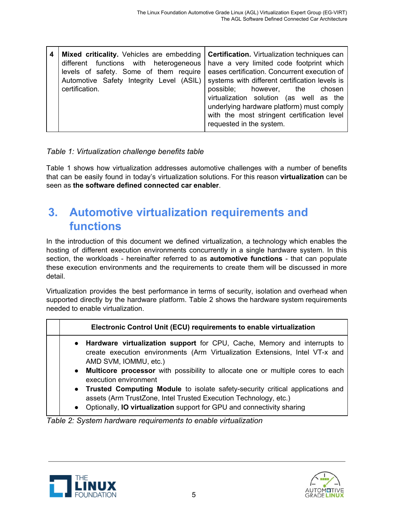#### *Table 1: Virtualization challenge benefits table*

Table 1 shows how virtualization addresses automotive challenges with a number of benefits that can be easily found in today's virtualization solutions. For this reason **virtualization** can be seen as **the software defined connected car enabler**.

# <span id="page-5-0"></span>**3. Automotive virtualization requirements and functions**

In the introduction of this document we defined virtualization, a technology which enables the hosting of different execution environments concurrently in a single hardware system. In this section, the workloads - hereinafter referred to as **automotive functions** - that can populate these execution environments and the requirements to create them will be discussed in more detail.

Virtualization provides the best performance in terms of security, isolation and overhead when supported directly by the hardware platform. Table 2 shows the hardware system requirements needed to enable virtualization.

| Electronic Control Unit (ECU) requirements to enable virtualization                                                                                                                                                                                                     |  |  |
|-------------------------------------------------------------------------------------------------------------------------------------------------------------------------------------------------------------------------------------------------------------------------|--|--|
| • Hardware virtualization support for CPU, Cache, Memory and interrupts to<br>create execution environments (Arm Virtualization Extensions, Intel VT-x and<br>AMD SVM, IOMMU, etc.)<br>• Multicore processor with possibility to allocate one or multiple cores to each |  |  |
| execution environment                                                                                                                                                                                                                                                   |  |  |
| • Trusted Computing Module to isolate safety-security critical applications and<br>assets (Arm TrustZone, Intel Trusted Execution Technology, etc.)<br>• Optionally, IO virtualization support for GPU and connectivity sharing                                         |  |  |

*Table 2: System hardware requirements to enable virtualization*



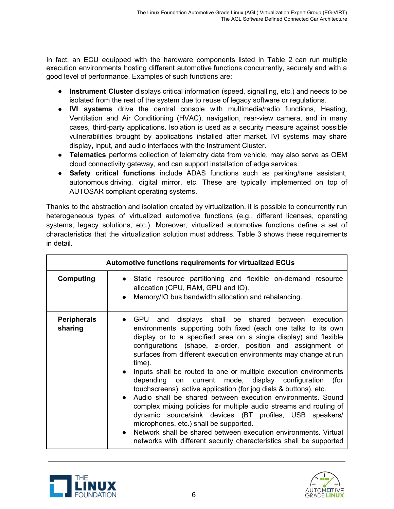In fact, an ECU equipped with the hardware components listed in Table 2 can run multiple execution environments hosting different automotive functions concurrently, securely and with a good level of performance. Examples of such functions are:

- **Instrument Cluster** displays critical information (speed, signalling, etc.) and needs to be isolated from the rest of the system due to reuse of legacy software or regulations.
- **IVI systems** drive the central console with multimedia/radio functions, Heating, Ventilation and Air Conditioning (HVAC), navigation, rear-view camera, and in many cases, third-party applications. Isolation is used as a security measure against possible vulnerabilities brought by applications installed after market. IVI systems may share display, input, and audio interfaces with the Instrument Cluster.
- **Telematics** performs collection of telemetry data from vehicle, may also serve as OEM cloud connectivity gateway, and can support installation of edge services.
- **Safety critical functions** include ADAS functions such as parking/lane assistant, autonomous driving, digital mirror, etc. These are typically implemented on top of AUTOSAR compliant operating systems.

Thanks to the abstraction and isolation created by virtualization, it is possible to concurrently run heterogeneous types of virtualized automotive functions (e.g., different licenses, operating systems, legacy solutions, etc.). Moreover, virtualized automotive functions define a set of characteristics that the virtualization solution must address. Table 3 shows these requirements in detail.

|                               | <b>Automotive functions requirements for virtualized ECUs</b>                                                                                                                                                                                                                                                                                                                                                                                                                                                                                                                                                                                                                                                                                                                                                                                                                                                                                          |
|-------------------------------|--------------------------------------------------------------------------------------------------------------------------------------------------------------------------------------------------------------------------------------------------------------------------------------------------------------------------------------------------------------------------------------------------------------------------------------------------------------------------------------------------------------------------------------------------------------------------------------------------------------------------------------------------------------------------------------------------------------------------------------------------------------------------------------------------------------------------------------------------------------------------------------------------------------------------------------------------------|
| Computing                     | • Static resource partitioning and flexible on-demand resource<br>allocation (CPU, RAM, GPU and IO).<br>Memory/IO bus bandwidth allocation and rebalancing.<br>$\bullet$                                                                                                                                                                                                                                                                                                                                                                                                                                                                                                                                                                                                                                                                                                                                                                               |
| <b>Peripherals</b><br>sharing | • GPU and displays shall be shared between execution<br>environments supporting both fixed (each one talks to its own<br>display or to a specified area on a single display) and flexible<br>configurations (shape, z-order, position and assignment of<br>surfaces from different execution environments may change at run<br>time).<br>Inputs shall be routed to one or multiple execution environments<br>$\bullet$<br>depending on current mode, display configuration (for<br>touchscreens), active application (for jog dials & buttons), etc.<br>• Audio shall be shared between execution environments. Sound<br>complex mixing policies for multiple audio streams and routing of<br>dynamic source/sink devices (BT profiles, USB speakers/<br>microphones, etc.) shall be supported.<br>Network shall be shared between execution environments. Virtual<br>$\bullet$<br>networks with different security characteristics shall be supported |



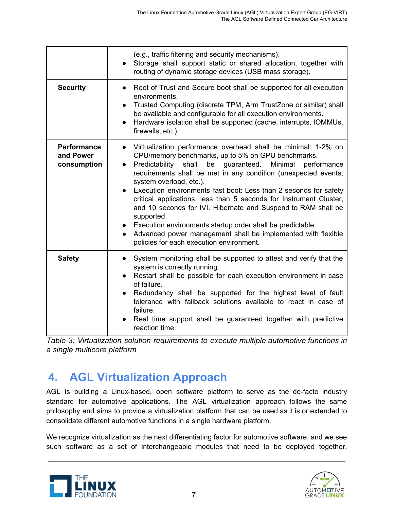|                                                | (e.g., traffic filtering and security mechanisms).<br>Storage shall support static or shared allocation, together with<br>routing of dynamic storage devices (USB mass storage).                                                                                                                                                                                                                                                                                                                                                                                                                                                                                                             |
|------------------------------------------------|----------------------------------------------------------------------------------------------------------------------------------------------------------------------------------------------------------------------------------------------------------------------------------------------------------------------------------------------------------------------------------------------------------------------------------------------------------------------------------------------------------------------------------------------------------------------------------------------------------------------------------------------------------------------------------------------|
| <b>Security</b>                                | • Root of Trust and Secure boot shall be supported for all execution<br>environments.<br>Trusted Computing (discrete TPM, Arm TrustZone or similar) shall<br>be available and configurable for all execution environments.<br>Hardware isolation shall be supported (cache, interrupts, IOMMUs,<br>$\bullet$<br>firewalls, etc.).                                                                                                                                                                                                                                                                                                                                                            |
| <b>Performance</b><br>and Power<br>consumption | Virtualization performance overhead shall be minimal: 1-2% on<br>CPU/memory benchmarks, up to 5% on GPU benchmarks.<br>Predictability shall<br>guaranteed.<br>Minimal<br>be<br>performance<br>requirements shall be met in any condition (unexpected events,<br>system overload, etc.).<br>Execution environments fast boot: Less than 2 seconds for safety<br>critical applications, less than 5 seconds for Instrument Cluster,<br>and 10 seconds for IVI. Hibernate and Suspend to RAM shall be<br>supported.<br>• Execution environments startup order shall be predictable.<br>Advanced power management shall be implemented with flexible<br>policies for each execution environment. |
| <b>Safety</b>                                  | System monitoring shall be supported to attest and verify that the<br>$\bullet$<br>system is correctly running.<br>Restart shall be possible for each execution environment in case<br>$\bullet$<br>of failure.<br>Redundancy shall be supported for the highest level of fault<br>tolerance with fallback solutions available to react in case of<br>failure.<br>Real time support shall be guaranteed together with predictive<br>reaction time.                                                                                                                                                                                                                                           |

*Table 3: Virtualization solution requirements to execute multiple automotive functions in a single multicore platform*

# <span id="page-7-0"></span>**4. AGL Virtualization Approach**

AGL is building a Linux-based, open software platform to serve as the de-facto industry standard for automotive applications. The AGL virtualization approach follows the same philosophy and aims to provide a virtualization platform that can be used as it is or extended to consolidate different automotive functions in a single hardware platform.

We recognize virtualization as the next differentiating factor for automotive software, and we see such software as a set of interchangeable modules that need to be deployed together,



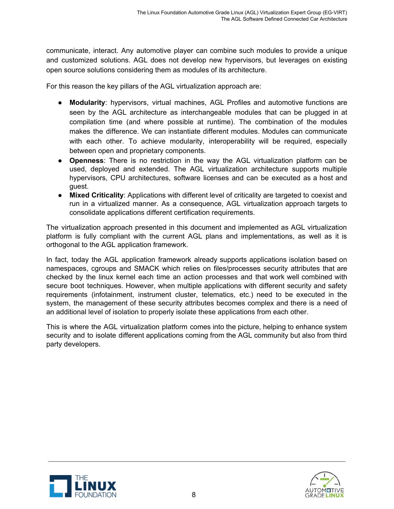communicate, interact. Any automotive player can combine such modules to provide a unique and customized solutions. AGL does not develop new hypervisors, but leverages on existing open source solutions considering them as modules of its architecture.

For this reason the key pillars of the AGL virtualization approach are:

- **Modularity**: hypervisors, virtual machines, AGL Profiles and automotive functions are seen by the AGL architecture as interchangeable modules that can be plugged in at compilation time (and where possible at runtime). The combination of the modules makes the difference. We can instantiate different modules. Modules can communicate with each other. To achieve modularity, interoperability will be required, especially between open and proprietary components.
- **Openness**: There is no restriction in the way the AGL virtualization platform can be used, deployed and extended. The AGL virtualization architecture supports multiple hypervisors, CPU architectures, software licenses and can be executed as a host and guest.
- **Mixed Criticality**: Applications with different level of criticality are targeted to coexist and run in a virtualized manner. As a consequence, AGL virtualization approach targets to consolidate applications different certification requirements.

The virtualization approach presented in this document and implemented as AGL virtualization platform is fully compliant with the current AGL plans and implementations, as well as it is orthogonal to the AGL application framework.

In fact, today the AGL application framework already supports applications isolation based on namespaces, cgroups and SMACK which relies on files/processes security attributes that are checked by the linux kernel each time an action processes and that work well combined with secure boot techniques. However, when multiple applications with different security and safety requirements (infotainment, instrument cluster, telematics, etc.) need to be executed in the system, the management of these security attributes becomes complex and there is a need of an additional level of isolation to properly isolate these applications from each other.

This is where the AGL virtualization platform comes into the picture, helping to enhance system security and to isolate different applications coming from the AGL community but also from third party developers.



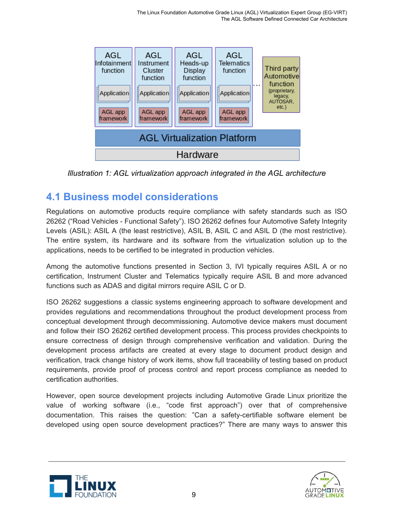

*Illustration 1: AGL virtualization approach integrated in the AGL architecture*

### <span id="page-9-0"></span>**4.1 Business model considerations**

Regulations on automotive products require compliance with safety standards such as ISO 26262 ("Road Vehicles - Functional Safety"). ISO 26262 defines four Automotive Safety Integrity Levels (ASIL): ASIL A (the least restrictive), ASIL B, ASIL C and ASIL D (the most restrictive). The entire system, its hardware and its software from the virtualization solution up to the applications, needs to be certified to be integrated in production vehicles.

Among the automotive functions presented in Section 3, IVI typically requires ASIL A or no certification, Instrument Cluster and Telematics typically require ASIL B and more advanced functions such as ADAS and digital mirrors require ASIL C or D.

ISO 26262 suggestions a classic systems engineering approach to software development and provides regulations and recommendations throughout the product development process from conceptual development through decommissioning. Automotive device makers must document and follow their ISO 26262 certified development process. This process provides checkpoints to ensure correctness of design through comprehensive verification and validation. During the development process artifacts are created at every stage to document product design and verification, track change history of work items, show full traceability of testing based on product requirements, provide proof of process control and report process compliance as needed to certification authorities.

However, open source development projects including Automotive Grade Linux prioritize the value of working software (i.e., "code first approach") over that of comprehensive documentation. This raises the question: "Can a safety-certifiable software element be developed using open source development practices?" There are many ways to answer this



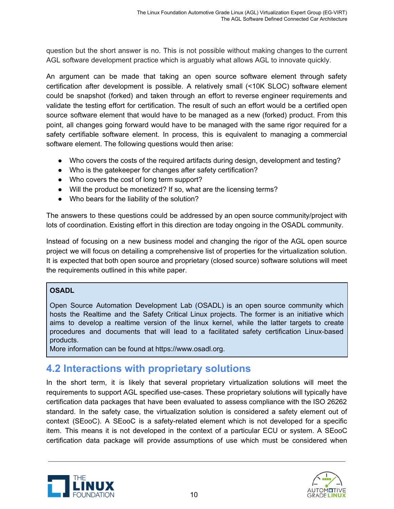question but the short answer is no. This is not possible without making changes to the current AGL software development practice which is arguably what allows AGL to innovate quickly.

An argument can be made that taking an open source software element through safety certification after development is possible. A relatively small (<10K SLOC) software element could be snapshot (forked) and taken through an effort to reverse engineer requirements and validate the testing effort for certification. The result of such an effort would be a certified open source software element that would have to be managed as a new (forked) product. From this point, all changes going forward would have to be managed with the same rigor required for a safety certifiable software element. In process, this is equivalent to managing a commercial software element. The following questions would then arise:

- Who covers the costs of the required artifacts during design, development and testing?
- Who is the gatekeeper for changes after safety certification?
- Who covers the cost of long term support?
- Will the product be monetized? If so, what are the licensing terms?
- Who bears for the liability of the solution?

The answers to these questions could be addressed by an open source community/project with lots of coordination. Existing effort in this direction are today ongoing in the OSADL community.

Instead of focusing on a new business model and changing the rigor of the AGL open source project we will focus on detailing a comprehensive list of properties for the virtualization solution. It is expected that both open source and proprietary (closed source) software solutions will meet the requirements outlined in this white paper.

#### **OSADL**

Open Source Automation Development Lab (OSADL) is an open source community which hosts the Realtime and the Safety Critical Linux projects. The former is an initiative which aims to develop a realtime version of the linux kernel, while the latter targets to create procedures and documents that will lead to a facilitated safety certification Linux-based products.

More information can be found at https://www.osadl.org.

### <span id="page-10-0"></span>**4.2 Interactions with proprietary solutions**

In the short term, it is likely that several proprietary virtualization solutions will meet the requirements to support AGL specified use-cases. These proprietary solutions will typically have certification data packages that have been evaluated to assess compliance with the ISO 26262 standard. In the safety case, the virtualization solution is considered a safety element out of context (SEooC). A SEooC is a safety-related element which is not developed for a specific item. This means it is not developed in the context of a particular ECU or system. A SEooC certification data package will provide assumptions of use which must be considered when



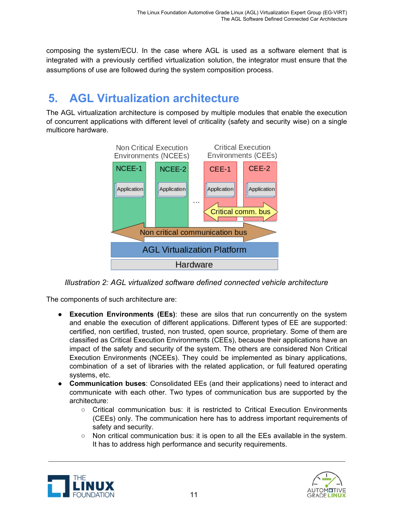composing the system/ECU. In the case where AGL is used as a software element that is integrated with a previously certified virtualization solution, the integrator must ensure that the assumptions of use are followed during the system composition process.

# <span id="page-11-0"></span>**5. AGL Virtualization architecture**

The AGL virtualization architecture is composed by multiple modules that enable the execution of concurrent applications with different level of criticality (safety and security wise) on a single multicore hardware.



*Illustration 2: AGL virtualized software defined connected vehicle architecture*

The components of such architecture are:

- **Execution Environments (EEs)**: these are silos that run concurrently on the system and enable the execution of different applications. Different types of EE are supported: certified, non certified, trusted, non trusted, open source, proprietary. Some of them are classified as Critical Execution Environments (CEEs), because their applications have an impact of the safety and security of the system. The others are considered Non Critical Execution Environments (NCEEs). They could be implemented as binary applications, combination of a set of libraries with the related application, or full featured operating systems, etc.
- **Communication buses**: Consolidated EEs (and their applications) need to interact and communicate with each other. Two types of communication bus are supported by the architecture:
	- Critical communication bus: it is restricted to Critical Execution Environments (CEEs) only. The communication here has to address important requirements of safety and security.
	- $\circ$  Non critical communication bus: it is open to all the EEs available in the system. It has to address high performance and security requirements.



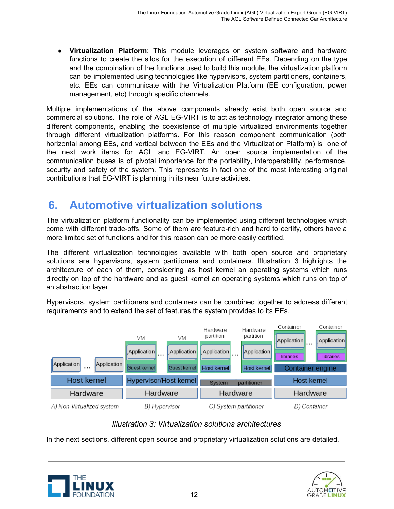● **Virtualization Platform**: This module leverages on system software and hardware functions to create the silos for the execution of different EEs. Depending on the type and the combination of the functions used to build this module, the virtualization platform can be implemented using technologies like hypervisors, system partitioners, containers, etc. EEs can communicate with the Virtualization Platform (EE configuration, power management, etc) through specific channels.

Multiple implementations of the above components already exist both open source and commercial solutions. The role of AGL EG-VIRT is to act as technology integrator among these different components, enabling the coexistence of multiple virtualized environments together through different virtualization platforms. For this reason component communication (both horizontal among EEs, and vertical between the EEs and the Virtualization Platform) is one of the next work items for AGL and EG-VIRT. An open source implementation of the communication buses is of pivotal importance for the portability, interoperability, performance, security and safety of the system. This represents in fact one of the most interesting original contributions that EG-VIRT is planning in its near future activities.

# <span id="page-12-0"></span>**6. Automotive virtualization solutions**

The virtualization platform functionality can be implemented using different technologies which come with different trade-offs. Some of them are feature-rich and hard to certify, others have a more limited set of functions and for this reason can be more easily certified.

The different virtualization technologies available with both open source and proprietary solutions are hypervisors, system partitioners and containers. Illustration 3 highlights the architecture of each of them, considering as host kernel an operating systems which runs directly on top of the hardware and as guest kernel an operating systems which runs on top of an abstraction layer.

Hypervisors, system partitioners and containers can be combined together to address different requirements and to extend the set of features the system provides to its EEs.



#### *Illustration 3: Virtualization solutions architectures*

In the next sections, different open source and proprietary virtualization solutions are detailed.



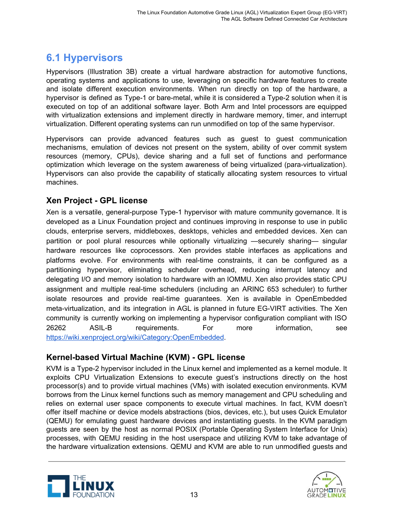# <span id="page-13-0"></span>**6.1 Hypervisors**

Hypervisors (Illustration 3B) create a virtual hardware abstraction for automotive functions, operating systems and applications to use, leveraging on specific hardware features to create and isolate different execution environments. When run directly on top of the hardware, a hypervisor is defined as Type-1 or bare-metal, while it is considered a Type-2 solution when it is executed on top of an additional software layer. Both Arm and Intel processors are equipped with virtualization extensions and implement directly in hardware memory, timer, and interrupt virtualization. Different operating systems can run unmodified on top of the same hypervisor.

Hypervisors can provide advanced features such as guest to guest communication mechanisms, emulation of devices not present on the system, ability of over commit system resources (memory, CPUs), device sharing and a full set of functions and performance optimization which leverage on the system awareness of being virtualized (para-virtualization). Hypervisors can also provide the capability of statically allocating system resources to virtual machines.

#### <span id="page-13-1"></span>**Xen Project - GPL license**

Xen is a versatile, general-purpose Type-1 hypervisor with mature community governance. It is developed as a Linux Foundation project and continues improving in response to use in public clouds, enterprise servers, middleboxes, desktops, vehicles and embedded devices. Xen can partition or pool plural resources while optionally virtualizing —securely sharing— singular hardware resources like coprocessors. Xen provides stable interfaces as applications and platforms evolve. For environments with real-time constraints, it can be configured as a partitioning hypervisor, eliminating scheduler overhead, reducing interrupt latency and delegating I/O and memory isolation to hardware with an IOMMU. Xen also provides static CPU assignment and multiple real-time schedulers (including an ARINC 653 scheduler) to further isolate resources and provide real-time guarantees. Xen is available in OpenEmbedded meta-virtualization, and its integration in AGL is planned in future EG-VIRT activities. The Xen community is currently working on implementing a hypervisor configuration compliant with ISO 26262 ASIL-B requirements. For more information, see [https://wiki.xenproject.org/wiki/Category:OpenEmbedded.](https://wiki.xenproject.org/wiki/Category:OpenEmbedded)

#### <span id="page-13-2"></span>**Kernel-based Virtual Machine (KVM) - GPL license**

KVM is a Type-2 hypervisor included in the Linux kernel and implemented as a kernel module. It exploits CPU Virtualization Extensions to execute guest's instructions directly on the host processor(s) and to provide virtual machines (VMs) with isolated execution environments. KVM borrows from the Linux kernel functions such as memory management and CPU scheduling and relies on external user space components to execute virtual machines. In fact, KVM doesn't offer itself machine or device models abstractions (bios, devices, etc.), but uses Quick Emulator (QEMU) for emulating guest hardware devices and instantiating guests. In the KVM paradigm guests are seen by the host as normal POSIX (Portable Operating System Interface for Unix) processes, with QEMU residing in the host userspace and utilizing KVM to take advantage of the hardware virtualization extensions. QEMU and KVM are able to run unmodified guests and



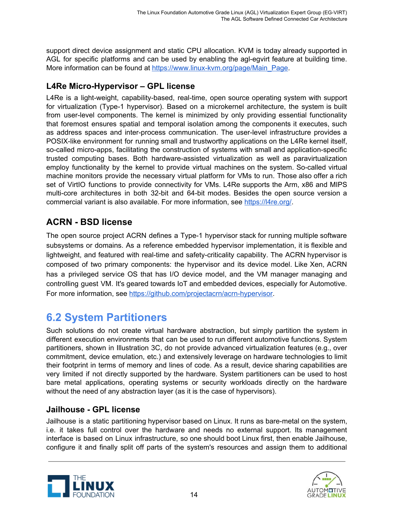support direct device assignment and static CPU allocation. KVM is today already supported in AGL for specific platforms and can be used by enabling the agl-egvirt feature at building time. More information can be found at [https://www.linux-kvm.org/page/Main\\_Page.](https://www.linux-kvm.org/page/Main_Page)

#### <span id="page-14-0"></span>**L4Re Micro-Hypervisor – GPL license**

L4Re is a light-weight, capability-based, real-time, open source operating system with support for virtualization (Type-1 hypervisor). Based on a microkernel architecture, the system is built from user-level components. The kernel is minimized by only providing essential functionality that foremost ensures spatial and temporal isolation among the components it executes, such as address spaces and inter-process communication. The user-level infrastructure provides a POSIX-like environment for running small and trustworthy applications on the L4Re kernel itself, so-called micro-apps, facilitating the construction of systems with small and application-specific trusted computing bases. Both hardware-assisted virtualization as well as paravirtualization employ functionality by the kernel to provide virtual machines on the system. So-called virtual machine monitors provide the necessary virtual platform for VMs to run. Those also offer a rich set of VirtIO functions to provide connectivity for VMs. L4Re supports the Arm, x86 and MIPS multi-core architectures in both 32-bit and 64-bit modes. Besides the open source version a commercial variant is also available. For more information, see <https://l4re.org/>.

### <span id="page-14-1"></span>**ACRN - BSD license**

The open source project ACRN defines a Type-1 hypervisor stack for running multiple software subsystems or domains. As a reference embedded hypervisor implementation, it is flexible and lightweight, and featured with real-time and safety-criticality capability. The ACRN hypervisor is composed of two primary components: the hypervisor and its device model. Like Xen, ACRN has a privileged service OS that has I/O device model, and the VM manager managing and controlling guest VM. It's geared towards IoT and embedded devices, especially for Automotive. For more information, see [https://github.com/projectacrn/acrn-hypervisor.](https://github.com/projectacrn/acrn-hypervisor)

### <span id="page-14-2"></span>**6.2 System Partitioners**

Such solutions do not create virtual hardware abstraction, but simply partition the system in different execution environments that can be used to run different automotive functions. System partitioners, shown in Illustration 3C, do not provide advanced virtualization features (e.g., over commitment, device emulation, etc.) and extensively leverage on hardware technologies to limit their footprint in terms of memory and lines of code. As a result, device sharing capabilities are very limited if not directly supported by the hardware. System partitioners can be used to host bare metal applications, operating systems or security workloads directly on the hardware without the need of any abstraction layer (as it is the case of hypervisors).

#### <span id="page-14-3"></span>**Jailhouse - GPL license**

Jailhouse is a static partitioning hypervisor based on Linux. It runs as bare-metal on the system, i.e. it takes full control over the hardware and needs no external support. Its management interface is based on Linux infrastructure, so one should boot Linux first, then enable Jailhouse, configure it and finally split off parts of the system's resources and assign them to additional



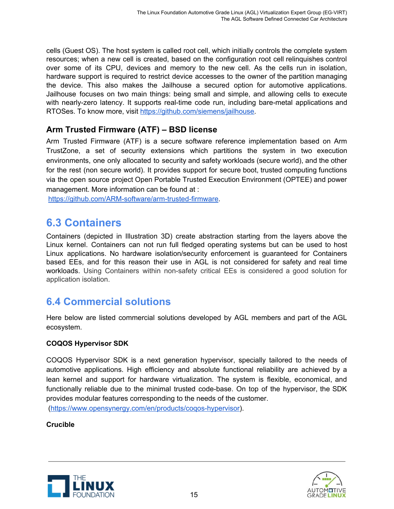cells (Guest OS). The host system is called root cell, which initially controls the complete system resources; when a new cell is created, based on the configuration root cell relinquishes control over some of its CPU, devices and memory to the new cell. As the cells run in isolation, hardware support is required to restrict device accesses to the owner of the partition managing the device. This also makes the Jailhouse a secured option for automotive applications. Jailhouse focuses on two main things: being small and simple, and allowing cells to execute with nearly-zero latency. It supports real-time code run, including bare-metal applications and RTOSes. To know more, visit <https://github.com/siemens/jailhouse>.

#### <span id="page-15-0"></span>**Arm Trusted Firmware (ATF) – BSD license**

Arm Trusted Firmware (ATF) is a secure software reference implementation based on Arm TrustZone, a set of security extensions which partitions the system in two execution environments, one only allocated to security and safety workloads (secure world), and the other for the rest (non secure world). It provides support for secure boot, trusted computing functions via the open source project Open Portable Trusted Execution Environment (OPTEE) and power management. More information can be found at :

[https://github.com/ARM-software/arm-trusted-firmware.](https://github.com/ARM-software/arm-trusted-firmware)

# <span id="page-15-1"></span>**6.3 Containers**

Containers (depicted in Illustration 3D) create abstraction starting from the layers above the Linux kernel. Containers can not run full fledged operating systems but can be used to host Linux applications. No hardware isolation/security enforcement is guaranteed for Containers based EEs, and for this reason their use in AGL is not considered for safety and real time workloads. Using Containers within non-safety critical EEs is considered a good solution for application isolation.

### <span id="page-15-2"></span>**6.4 Commercial solutions**

Here below are listed commercial solutions developed by AGL members and part of the AGL ecosystem.

#### **COQOS Hypervisor SDK**

COQOS Hypervisor SDK is a next generation hypervisor, specially tailored to the needs of automotive applications. High efficiency and absolute functional reliability are achieved by a lean kernel and support for hardware virtualization. The system is flexible, economical, and functionally reliable due to the minimal trusted code-base. On top of the hypervisor, the SDK provides modular features corresponding to the needs of the customer.

([https://www.opensynergy.com/en/products/coqos-hypervisor\)](https://www.opensynergy.com/en/products/coqos-hypervisor).

#### **Crucible**



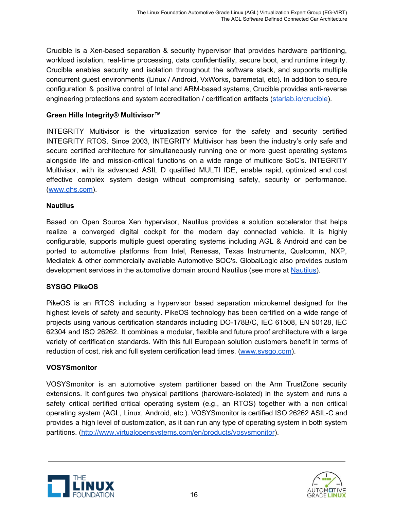Crucible is a Xen-based separation & security hypervisor that provides hardware partitioning, workload isolation, real-time processing, data confidentiality, secure boot, and runtime integrity. Crucible enables security and isolation throughout the software stack, and supports multiple concurrent guest environments (Linux / Android, VxWorks, baremetal, etc). In addition to secure configuration & positive control of Intel and ARM-based systems, Crucible provides anti-reverse engineering protections and system accreditation / certification artifacts ([starlab.io/crucible](https://starlab.io/products/crucible/)).

#### **Green Hills Integrity® Multivisor™**

INTEGRITY Multivisor is the virtualization service for the safety and security certified INTEGRITY RTOS. Since 2003, INTEGRITY Multivisor has been the industry's only safe and secure certified architecture for simultaneously running one or more guest operating systems alongside life and mission-critical functions on a wide range of multicore SoC's. INTEGRITY Multivisor, with its advanced ASIL D qualified MULTI IDE, enable rapid, optimized and cost effective complex system design without compromising safety, security or performance. ([www.ghs.com](http://www.ghs.com/)).

#### **Nautilus**

Based on Open Source Xen hypervisor, Nautilus provides a solution accelerator that helps realize a converged digital cockpit for the modern day connected vehicle. It is highly configurable, supports multiple guest operating systems including AGL & Android and can be ported to automotive platforms from Intel, Renesas, Texas Instruments, Qualcomm, NXP, Mediatek & other commercially available Automotive SOC's. GlobalLogic also provides custom development services in the automotive domain around Nautilus (see more at [Nautilus\)](https://www.globallogic.com/wp-content/uploads/2016/12/GlobalLogic-Nautilus-Platform.pdf).

#### **SYSGO PikeOS**

PikeOS is an RTOS including a hypervisor based separation microkernel designed for the highest levels of safety and security. PikeOS technology has been certified on a wide range of projects using various certification standards including DO-178B/C, IEC 61508, EN 50128, IEC 62304 and ISO 26262. It combines a modular, flexible and future proof architecture with a large variety of certification standards. With this full European solution customers benefit in terms of reduction of cost, risk and full system certification lead times. ([www.sysgo.com](http://www.sysgo.com/)).

#### **VOSYSmonitor**

VOSYSmonitor is an automotive system partitioner based on the Arm TrustZone security extensions. It configures two physical partitions (hardware-isolated) in the system and runs a safety critical certified critical operating system (e.g., an RTOS) together with a non critical operating system (AGL, Linux, Android, etc.). VOSYSmonitor is certified ISO 26262 ASIL-C and provides a high level of customization, as it can run any type of operating system in both system partitions. [\(http://www.virtualopensystems.com/en/products/vosysmonitor\)](http://www.virtualopensystems.com/en/products/vosysmonitor).



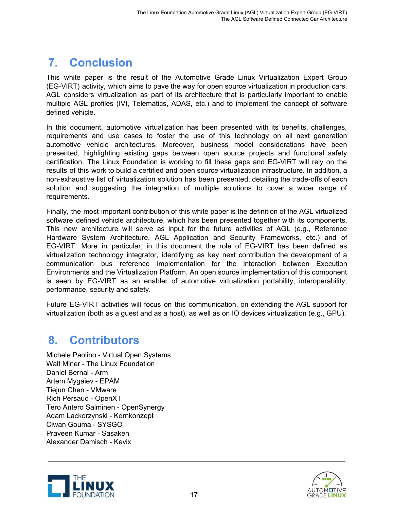# <span id="page-17-0"></span>**7. Conclusion**

This white paper is the result of the Automotive Grade Linux Virtualization Expert Group (EG-VIRT) activity, which aims to pave the way for open source virtualization in production cars. AGL considers virtualization as part of its architecture that is particularly important to enable multiple AGL profiles (IVI, Telematics, ADAS, etc.) and to implement the concept of software defined vehicle.

In this document, automotive virtualization has been presented with its benefits, challenges, requirements and use cases to foster the use of this technology on all next generation automotive vehicle architectures. Moreover, business model considerations have been presented, highlighting existing gaps between open source projects and functional safety certification. The Linux Foundation is working to fill these gaps and EG-VIRT will rely on the results of this work to build a certified and open source virtualization infrastructure. In addition, a non-exhaustive list of virtualization solution has been presented, detailing the trade-offs of each solution and suggesting the integration of multiple solutions to cover a wider range of requirements.

Finally, the most important contribution of this white paper is the definition of the AGL virtualized software defined vehicle architecture, which has been presented together with its components. This new architecture will serve as input for the future activities of AGL (e.g., Reference Hardware System Architecture, AGL Application and Security Frameworks, etc.) and of EG-VIRT. More in particular, in this document the role of EG-VIRT has been defined as virtualization technology integrator, identifying as key next contribution the development of a communication bus reference implementation for the interaction between Execution Environments and the Virtualization Platform. An open source implementation of this component is seen by EG-VIRT as an enabler of automotive virtualization portability, interoperability, performance, security and safety.

Future EG-VIRT activities will focus on this communication, on extending the AGL support for virtualization (both as a guest and as a host), as well as on IO devices virtualization (e.g., GPU).

# <span id="page-17-1"></span>**8. Contributors**

Michele Paolino - Virtual Open Systems Walt Miner - The Linux Foundation Daniel Bernal - Arm Artem Mygaiev - EPAM Tiejun Chen - VMware Rich Persaud - OpenXT Tero Antero Salminen - OpenSynergy Adam Lackorzynski - Kernkonzept Ciwan Gouma - SYSGO Praveen Kumar - Sasaken Alexander Damisch - Kevix